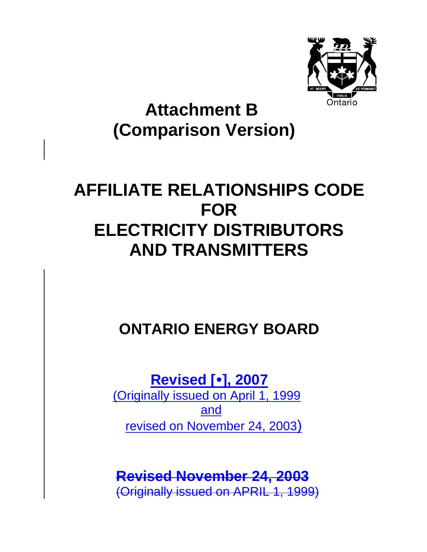

# **Attachment B (Comparison Version)**

# **AFFILIATE RELATIONSHIPS CODE FOR ELECTRICITY DISTRIBUTORS AND TRANSMITTERS**

## **ONTARIO ENERGY BOARD**

**Revised [**y**], 2007**

(Originally issued on April 1, 1999 and revised on November 24, 2003)

## **Revised November 24, 2003**

(Originally issued on APRIL 1, 1999)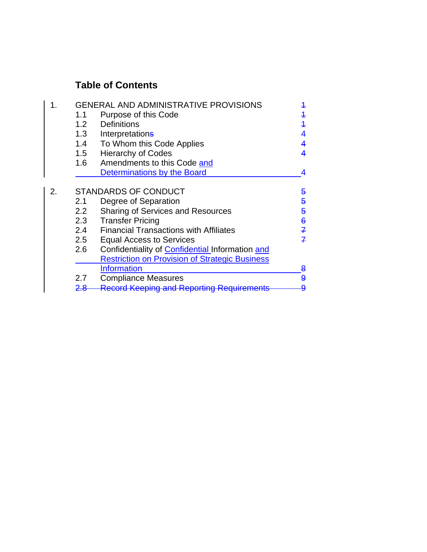### **Table of Contents**

|  | <b>GENERAL AND ADMINISTRATIVE PROVISIONS</b> |                                                        |                |
|--|----------------------------------------------|--------------------------------------------------------|----------------|
|  | 1.1                                          | Purpose of this Code                                   | 4              |
|  | 1.2                                          | <b>Definitions</b>                                     | $\overline{1}$ |
|  | 1.3                                          | Interpretations                                        | 4              |
|  | 1.4                                          | To Whom this Code Applies                              | 4              |
|  | 1.5                                          | <b>Hierarchy of Codes</b>                              | 4              |
|  | 1.6                                          | Amendments to this Code and                            |                |
|  |                                              | Determinations by the Board                            |                |
|  |                                              |                                                        |                |
|  | <b>STANDARDS OF CONDUCT</b>                  |                                                        | 5              |
|  | 2.1                                          | Degree of Separation                                   | 5              |
|  | 2.2                                          | <b>Sharing of Services and Resources</b>               | 5              |
|  | 2.3                                          | <b>Transfer Pricing</b>                                | $\bf{6}$       |
|  | 2.4                                          | <b>Financial Transactions with Affiliates</b>          | $\mathcal{I}$  |
|  | 2.5                                          | <b>Equal Access to Services</b>                        | $\mathcal{I}$  |
|  | 2.6                                          | Confidentiality of <b>Confidential</b> Information and |                |
|  |                                              | <b>Restriction on Provision of Strategic Business</b>  |                |
|  |                                              | <b>Information</b>                                     | 8              |
|  | 2.7                                          | <b>Compliance Measures</b>                             | 9              |
|  |                                              | <b>Record Keeping and Reporting Requ</b>               |                |
|  |                                              |                                                        |                |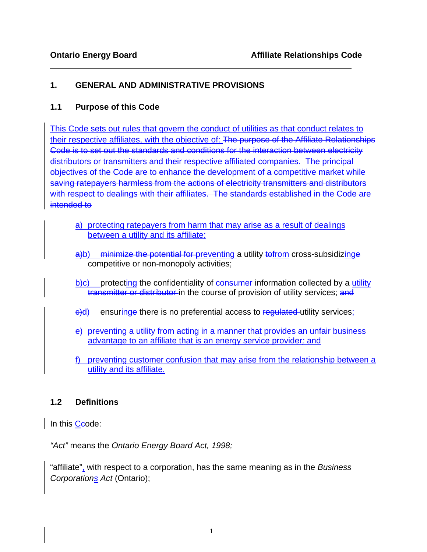#### **1. GENERAL AND ADMINISTRATIVE PROVISIONS**

#### **1.1 Purpose of this Code**

This Code sets out rules that govern the conduct of utilities as that conduct relates to their respective affiliates, with the objective of: The purpose of the Affiliate Relationships Code is to set out the standards and conditions for the interaction between electricity distributors or transmitters and their respective affiliated companies. The principal objectives of the Code are to enhance the development of a competitive market while saving ratepayers harmless from the actions of electricity transmitters and distributors with respect to dealings with their affiliates. The standard*s* established in the Code are intended to

- a) protecting ratepayers from harm that may arise as a result of dealings between a utility and its affiliate;
- a)b) minimize the potential for preventing a utility to from cross-subsidizinge competitive or non-monopoly activities;
- $\frac{1}{2}$ c) protecting the confidentiality of consumer-information collected by a utility transmitter or distributor in the course of provision of utility services; and
- e)d) ensuringe there is no preferential access to regulated utility services;
- e) preventing a utility from acting in a manner that provides an unfair business advantage to an affiliate that is an energy service provider*;* and
- f) preventing customer confusion that may arise from the relationship between a utility and its affiliate.

#### **1.2 Definitions**

In this Ceode:

*"Act"* means the *Ontario Energy Board Act, 1998;* 

"affiliate", with respect to a corporation, has the same meaning as in the *Business Corporations Act* (Ontario);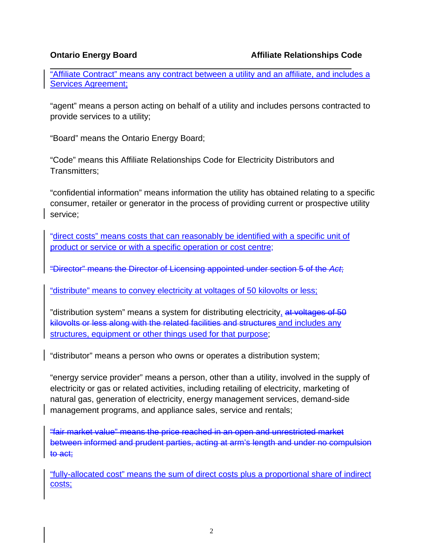$\overline{a}$ "Affiliate Contract" means any contract between a utility and an affiliate, and includes a Services Agreement;

"agent" means a person acting on behalf of a utility and includes persons contracted to provide services to a utility;

"Board" means the Ontario Energy Board;

"Code" means this Affiliate Relationships Code for Electricity Distributors and Transmitters;

"confidential information" means information the utility has obtained relating to a specific consumer, retailer or generator in the process of providing current or prospective utility service;

"direct costs" means costs that can reasonably be identified with a specific unit of product or service or with a specific operation or cost centre;

"Director" means the Director of Licensing appointed under section 5 of the *Act*;

"distribute" means to convey electricity at voltages of 50 kilovolts or less;

"distribution system" means a system for distributing electricity, at voltages of 50 kilovolts or less along with the related facilities and structures and includes any structures, equipment or other things used for that purpose;

"distributor" means a person who owns or operates a distribution system;

"energy service provider" means a person, other than a utility, involved in the supply of electricity or gas or related activities, including retailing of electricity, marketing of natural gas, generation of electricity, energy management services, demand-side management programs, and appliance sales, service and rentals;

"fair market value" means the price reached in an open and unrestricted market between informed and prudent parties, acting at arm's length and under no compulsion to act;

"fully-allocated cost" means the sum of direct costs plus a proportional share of indirect costs;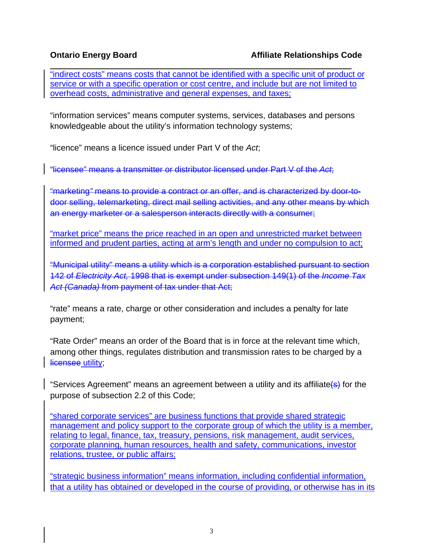$\overline{a}$ "indirect costs" means costs that cannot be identified with a specific unit of product or service or with a specific operation or cost centre, and include but are not limited to overhead costs, administrative and general expenses, and taxes;

"information services" means computer systems, services, databases and persons knowledgeable about the utility's information technology systems;

"licence" means a licence issued under Part V of the *Act*;

"licensee" means a transmitter or distributor licensed under Part V of the *Act*;

"marketing*"* means to provide a contract or an offer, and is characterized by door-todoor selling, telemarketing, direct mail selling activities, and any other means by which an energy marketer or a salesperson interacts directly with a consumer;

"market price" means the price reached in an open and unrestricted market between informed and prudent parties, acting at arm's length and under no compulsion to act;

"Municipal utility" means a utility which is a corporation established pursuant to section 142 of *Electricity Act,* 1998 that is exempt under subsection 149(1) of the *Income Tax Act (Canada)* from payment of tax under that Act;

"rate" means a rate, charge or other consideration and includes a penalty for late payment;

"Rate Order" means an order of the Board that is in force at the relevant time which, among other things, regulates distribution and transmission rates to be charged by a licensee utility;

"Services Agreement" means an agreement between a utility and its affiliate(s) for the purpose of subsection 2.2 of this Code;

"shared corporate services" are business functions that provide shared strategic management and policy support to the corporate group of which the utility is a member, relating to legal, finance, tax, treasury, pensions, risk management, audit services, corporate planning, human resources, health and safety, communications, investor relations, trustee, or public affairs;

"strategic business information" means information, including confidential information, that a utility has obtained or developed in the course of providing, or otherwise has in its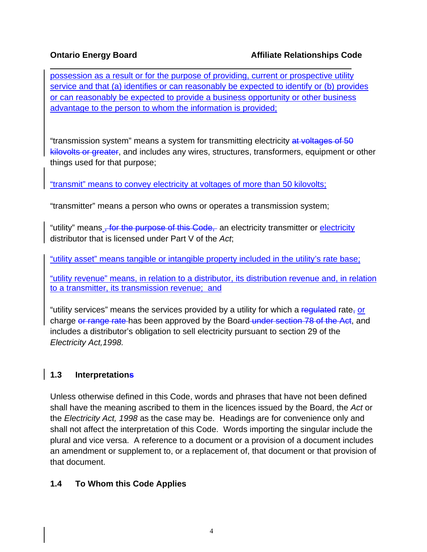possession as a result or for the purpose of providing, current or prospective utility service and that (a) identifies or can reasonably be expected to identify or (b) provides or can reasonably be expected to provide a business opportunity or other business advantage to the person to whom the information is provided;

"transmission system" means a system for transmitting electricity at voltages of 50 kilovolts or greater, and includes any wires, structures, transformers, equipment or other things used for that purpose;

"transmit" means to convey electricity at voltages of more than 50 kilovolts;

"transmitter" means a person who owns or operates a transmission system;

"utility" means, for the purpose of this Code, an electricity transmitter or electricity distributor that is licensed under Part V of the *Act*;

"utility asset" means tangible or intangible property included in the utility's rate base;

"utility revenue" means, in relation to a distributor, its distribution revenue and, in relation to a transmitter, its transmission revenue; and

"utility services" means the services provided by a utility for which a regulated rate, or charge or range rate has been approved by the Board under section 78 of the Act, and includes a distributor's obligation to sell electricity pursuant to section 29 of the *Electricity Act,1998.* 

### **1.3 Interpretations**

Unless otherwise defined in this Code, words and phrases that have not been defined shall have the meaning ascribed to them in the licences issued by the Board, the *Act* or the *Electricity Act, 1998* as the case may be. Headings are for convenience only and shall not affect the interpretation of this Code. Words importing the singular include the plural and vice versa. A reference to a document or a provision of a document includes an amendment or supplement to, or a replacement of, that document or that provision of that document.

### **1.4 To Whom this Code Applies**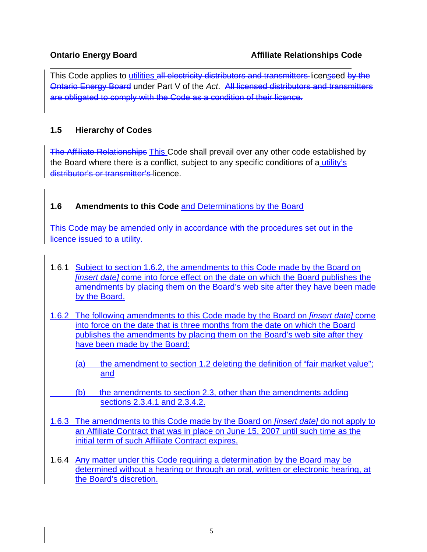This Code applies to utilities all electricity distributors and transmitters licenseed by the Ontario Energy Board under Part V of the *Act*. All licensed distributors and transmitters are obligated to comply with the Code as a condition of their licence.

#### **1.5 Hierarchy of Codes**

The Affiliate Relationships This Code shall prevail over any other code established by the Board where there is a conflict, subject to any specific conditions of a utility's distributor's or transmitter's licence.

### **1.6 Amendments to this Code** and Determinations by the Board

This Code may be amended only in accordance with the procedures set out in the licence issued to a utility.

- 1.6.1 Subject to section 1.6.2, the amendments to this Code made by the Board on *[insert date]* come into force effect on the date on which the Board publishes the amendments by placing them on the Board's web site after they have been made by the Board.
- 1.6.2 The following amendments to this Code made by the Board on *[insert date]* come into force on the date that is three months from the date on which the Board publishes the amendments by placing them on the Board's web site after they have been made by the Board:
	- (a) the amendment to section 1.2 deleting the definition of "fair market value"; and
	- (b) the amendments to section 2.3, other than the amendments adding sections 2.3.4.1 and 2.3.4.2.
- 1.6.3 The amendments to this Code made by the Board on *[insert date]* do not apply to an Affiliate Contract that was in place on June 15, 2007 until such time as the initial term of such Affiliate Contract expires.
- 1.6.4 Any matter under this Code requiring a determination by the Board may be determined without a hearing or through an oral, written or electronic hearing, at the Board's discretion.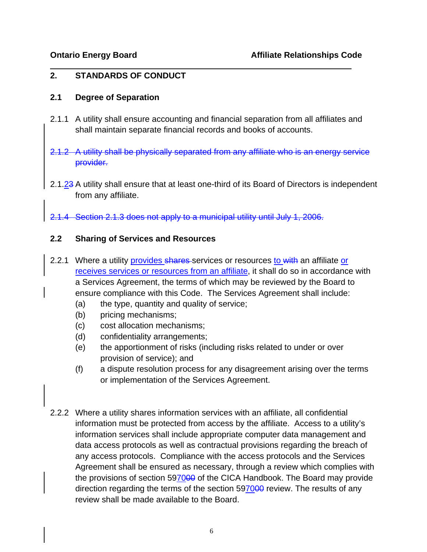#### **2. STANDARDS OF CONDUCT**

#### **2.1 Degree of Separation**

- 2.1.1 A utility shall ensure accounting and financial separation from all affiliates and shall maintain separate financial records and books of accounts.
- 2.1.2 A utility shall be physically separated from any affiliate who is an energy service provider.
- 2.1.23 A utility shall ensure that at least one-third of its Board of Directors is independent from any affiliate.
- 2.1.4 Section 2.1.3 does not apply to a municipal utility until July 1, 2006.

#### **2.2 Sharing of Services and Resources**

- 2.2.1 Where a utility provides shares services or resources to with an affiliate or receives services or resources from an affiliate, it shall do so in accordance with a Services Agreement, the terms of which may be reviewed by the Board to ensure compliance with this Code. The Services Agreement shall include:
	- (a) the type, quantity and quality of service;
	- (b) pricing mechanisms;
	- (c) cost allocation mechanisms;
	- (d) confidentiality arrangements;
	- (e) the apportionment of risks (including risks related to under or over provision of service); and
	- (f) a dispute resolution process for any disagreement arising over the terms or implementation of the Services Agreement.
- 2.2.2 Where a utility shares information services with an affiliate, all confidential information must be protected from access by the affiliate. Access to a utility's information services shall include appropriate computer data management and data access protocols as well as contractual provisions regarding the breach of any access protocols. Compliance with the access protocols and the Services Agreement shall be ensured as necessary, through a review which complies with the provisions of section 597000 of the CICA Handbook. The Board may provide direction regarding the terms of the section 597000 review. The results of any review shall be made available to the Board.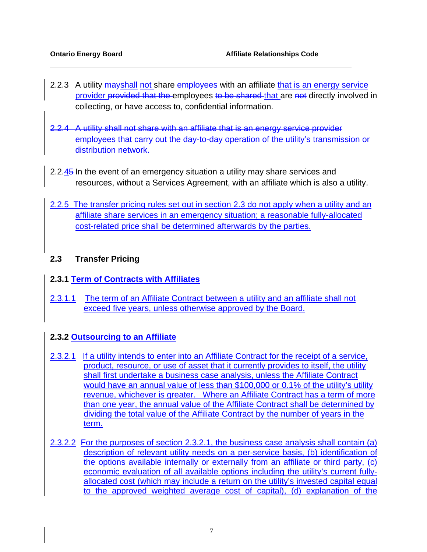- 2.2.3 A utility mayshall not share employees with an affiliate that is an energy service provider provided that the employees to be shared that are not directly involved in collecting, or have access to, confidential information.
- 2.2.4 A utility shall not share with an affiliate that is an energy service provider employees that carry out the day-to-day operation of the utility's transmission or distribution network.
- 2.2.45 In the event of an emergency situation a utility may share services and resources, without a Services Agreement, with an affiliate which is also a utility.
- 2.2.5 The transfer pricing rules set out in section 2.3 do not apply when a utility and an affiliate share services in an emergency situation; a reasonable fully-allocated cost-related price shall be determined afterwards by the parties.

#### **2.3 Transfer Pricing**

#### **2.3.1 Term of Contracts with Affiliates**

2.3.1.1 The term of an Affiliate Contract between a utility and an affiliate shall not exceed five years, unless otherwise approved by the Board.

#### **2.3.2 Outsourcing to an Affiliate**

- 2.3.2.1 If a utility intends to enter into an Affiliate Contract for the receipt of a service, product, resource, or use of asset that it currently provides to itself, the utility shall first undertake a business case analysis, unless the Affiliate Contract would have an annual value of less than \$100,000 or 0.1% of the utility's utility revenue, whichever is greater. Where an Affiliate Contract has a term of more than one year, the annual value of the Affiliate Contract shall be determined by dividing the total value of the Affiliate Contract by the number of years in the term.
- 2.3.2.2 For the purposes of section 2.3.2.1, the business case analysis shall contain (a) description of relevant utility needs on a per-service basis, (b) identification of the options available internally or externally from an affiliate or third party, (c) economic evaluation of all available options including the utility's current fullyallocated cost (which may include a return on the utility's invested capital equal to the approved weighted average cost of capital), (d) explanation of the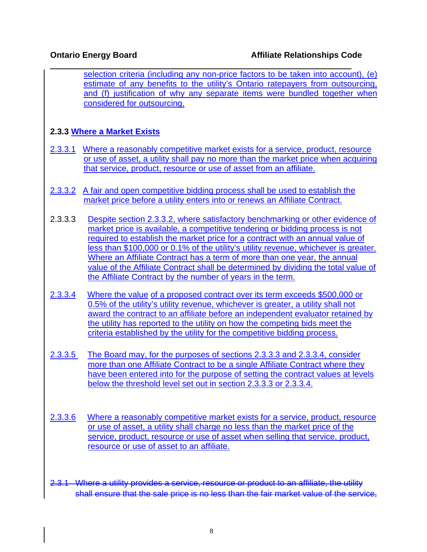selection criteria (including any non-price factors to be taken into account), (e) estimate of any benefits to the utility's Ontario ratepayers from outsourcing, and (f) justification of why any separate items were bundled together when considered for outsourcing.

### **2.3.3 Where a Market Exists**

- 2.3.3.1 Where a reasonably competitive market exists for a service, product, resource or use of asset, a utility shall pay no more than the market price when acquiring that service, product, resource or use of asset from an affiliate.
- 2.3.3.2 A fair and open competitive bidding process shall be used to establish the market price before a utility enters into or renews an Affiliate Contract.
- 2.3.3.3 Despite section 2.3.3.2, where satisfactory benchmarking or other evidence of market price is available, a competitive tendering or bidding process is not required to establish the market price for a contract with an annual value of less than \$100,000 or 0.1% of the utility's utility revenue, whichever is greater. Where an Affiliate Contract has a term of more than one year, the annual value of the Affiliate Contract shall be determined by dividing the total value of the Affiliate Contract by the number of years in the term.
- 2.3.3.4 Where the value of a proposed contract over its term exceeds \$500,000 or 0.5% of the utility's utility revenue, whichever is greater, a utility shall not award the contract to an affiliate before an independent evaluator retained by the utility has reported to the utility on how the competing bids meet the criteria established by the utility for the competitive bidding process.
- 2.3.3.5 The Board may, for the purposes of sections 2.3.3.3 and 2.3.3.4, consider more than one Affiliate Contract to be a single Affiliate Contract where they have been entered into for the purpose of setting the contract values at levels below the threshold level set out in section 2.3.3.3 or 2.3.3.4.
- 2.3.3.6 Where a reasonably competitive market exists for a service, product, resource or use of asset, a utility shall charge no less than the market price of the service, product, resource or use of asset when selling that service, product, resource or use of asset to an affiliate.
- 2.3.1 Where a utility provides a service, resource or product to an affiliate, the utility shall ensure that the sale price is no less than the fair market value of the service,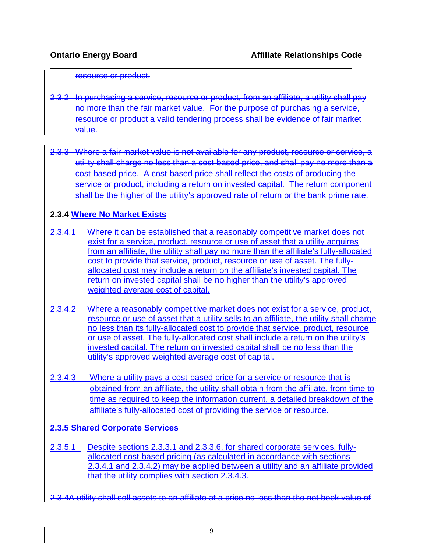#### resource or product.

- 2.3.2 In purchasing a service, resource or product, from an affiliate, a utility shall pay no more than the fair market value. For the purpose of purchasing a service, resource or product a valid tendering process shall be evidence of fair market value.
- 2.3.3 Where a fair market value is not available for any product, resource or service, a utility shall charge no less than a cost-based price, and shall pay no more than a cost-based price. A cost-based price shall reflect the costs of producing the service or product, including a return on invested capital. The return component shall be the higher of the utility's approved rate of return or the bank prime rate.

#### **2.3.4 Where No Market Exists**

- 2.3.4.1 Where it can be established that a reasonably competitive market does not exist for a service, product, resource or use of asset that a utility acquires from an affiliate, the utility shall pay no more than the affiliate's fully-allocated cost to provide that service, product, resource or use of asset. The fullyallocated cost may include a return on the affiliate's invested capital. The return on invested capital shall be no higher than the utility's approved weighted average cost of capital.
- 2.3.4.2 Where a reasonably competitive market does not exist for a service, product, resource or use of asset that a utility sells to an affiliate, the utility shall charge no less than its fully-allocated cost to provide that service, product, resource or use of asset. The fully-allocated cost shall include a return on the utility's invested capital. The return on invested capital shall be no less than the utility's approved weighted average cost of capital.
- 2.3.4.3 Where a utility pays a cost-based price for a service or resource that is obtained from an affiliate, the utility shall obtain from the affiliate, from time to time as required to keep the information current, a detailed breakdown of the affiliate's fully-allocated cost of providing the service or resource.

#### **2.3.5 Shared Corporate Services**

- 2.3.5.1 Despite sections 2.3.3.1 and 2.3.3.6, for shared corporate services, fullyallocated cost-based pricing (as calculated in accordance with sections 2.3.4.1 and 2.3.4.2) may be applied between a utility and an affiliate provided that the utility complies with section 2.3.4.3.
- 2.3.4A utility shall sell assets to an affiliate at a price no less than the net book value of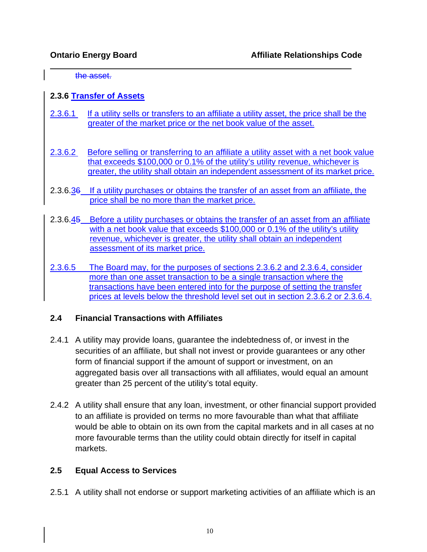the asset.

 $\overline{a}$ 

#### **2.3.6 Transfer of Assets**

- 2.3.6.1 If a utility sells or transfers to an affiliate a utility asset, the price shall be the greater of the market price or the net book value of the asset.
- 2.3.6.2 Before selling or transferring to an affiliate a utility asset with a net book value that exceeds \$100,000 or 0.1% of the utility's utility revenue, whichever is greater, the utility shall obtain an independent assessment of its market price.
- 2.3.6.36 If a utility purchases or obtains the transfer of an asset from an affiliate, the price shall be no more than the market price.
- 2.3.6.45 Before a utility purchases or obtains the transfer of an asset from an affiliate with a net book value that exceeds \$100,000 or 0.1% of the utility's utility revenue, whichever is greater, the utility shall obtain an independent assessment of its market price.
- 2.3.6.5 The Board may, for the purposes of sections 2.3.6.2 and 2.3.6.4, consider more than one asset transaction to be a single transaction where the transactions have been entered into for the purpose of setting the transfer prices at levels below the threshold level set out in section 2.3.6.2 or 2.3.6.4.

#### **2.4 Financial Transactions with Affiliates**

- 2.4.1 A utility may provide loans, guarantee the indebtedness of, or invest in the securities of an affiliate, but shall not invest or provide guarantees or any other form of financial support if the amount of support or investment, on an aggregated basis over all transactions with all affiliates, would equal an amount greater than 25 percent of the utility's total equity.
- 2.4.2 A utility shall ensure that any loan, investment, or other financial support provided to an affiliate is provided on terms no more favourable than what that affiliate would be able to obtain on its own from the capital markets and in all cases at no more favourable terms than the utility could obtain directly for itself in capital markets.

#### **2.5 Equal Access to Services**

2.5.1 A utility shall not endorse or support marketing activities of an affiliate which is an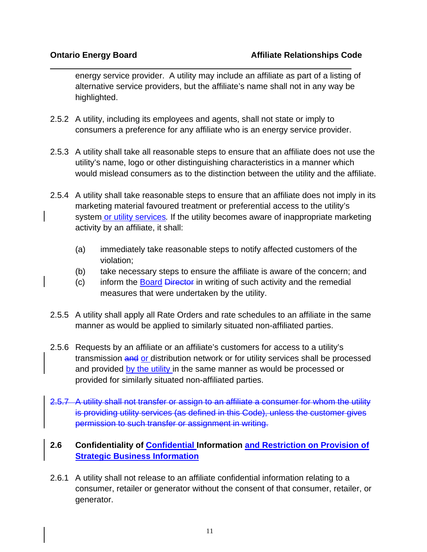energy service provider. A utility may include an affiliate as part of a listing of alternative service providers, but the affiliate's name shall not in any way be highlighted.

- 2.5.2 A utility, including its employees and agents, shall not state or imply to consumers a preference for any affiliate who is an energy service provider.
- 2.5.3 A utility shall take all reasonable steps to ensure that an affiliate does not use the utility's name, logo or other distinguishing characteristics in a manner which would mislead consumers as to the distinction between the utility and the affiliate.
- 2.5.4 A utility shall take reasonable steps to ensure that an affiliate does not imply in its marketing material favoured treatment or preferential access to the utility's system or utility services*.* If the utility becomes aware of inappropriate marketing activity by an affiliate, it shall:
	- (a) immediately take reasonable steps to notify affected customers of the violation;
	- (b) take necessary steps to ensure the affiliate is aware of the concern; and
	- (c) inform the Board Director in writing of such activity and the remedial measures that were undertaken by the utility.
- 2.5.5 A utility shall apply all Rate Orders and rate schedules to an affiliate in the same manner as would be applied to similarly situated non-affiliated parties.
- 2.5.6 Requests by an affiliate or an affiliate's customers for access to a utility's transmission and or distribution network or for utility services shall be processed and provided by the utility in the same manner as would be processed or provided for similarly situated non-affiliated parties.
- 2.5.7 A utility shall not transfer or assign to an affiliate a consumer for whom the utility is providing utility services (as defined in this Code), unless the customer gives permission to such transfer or assignment in writing.

### **2.6 Confidentiality of Confidential Information and Restriction on Provision of Strategic Business Information**

2.6.1 A utility shall not release to an affiliate confidential information relating to a consumer, retailer or generator without the consent of that consumer, retailer, or generator.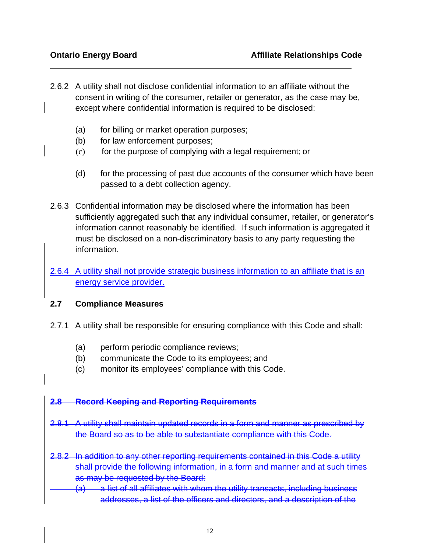- 2.6.2 A utility shall not disclose confidential information to an affiliate without the consent in writing of the consumer, retailer or generator, as the case may be, except where confidential information is required to be disclosed:
	- (a) for billing or market operation purposes;
	- (b) for law enforcement purposes;
	- (c) for the purpose of complying with a legal requirement; or
	- (d) for the processing of past due accounts of the consumer which have been passed to a debt collection agency.
- 2.6.3 Confidential information may be disclosed where the information has been sufficiently aggregated such that any individual consumer, retailer, or generator's information cannot reasonably be identified. If such information is aggregated it must be disclosed on a non-discriminatory basis to any party requesting the information.
- 2.6.4 A utility shall not provide strategic business information to an affiliate that is an energy service provider.

#### **2.7 Compliance Measures**

- 2.7.1 A utility shall be responsible for ensuring compliance with this Code and shall:
	- (a) perform periodic compliance reviews;
	- (b) communicate the Code to its employees; and
	- (c) monitor its employees' compliance with this Code.

#### **2.8 Record Keeping and Reporting Requirements**

- 2.8.1 A utility shall maintain updated records in a form and manner as prescribed by the Board so as to be able to substantiate compliance with this Code.
- 2.8.2 In addition to any other reporting requirements contained in this Code a utility shall provide the following information, in a form and manner and at such times as may be requested by the Board:
	- $(a)$  a list of all affiliates with whom the utility transacts, including business addresses, a list of the officers and directors, and a description of the